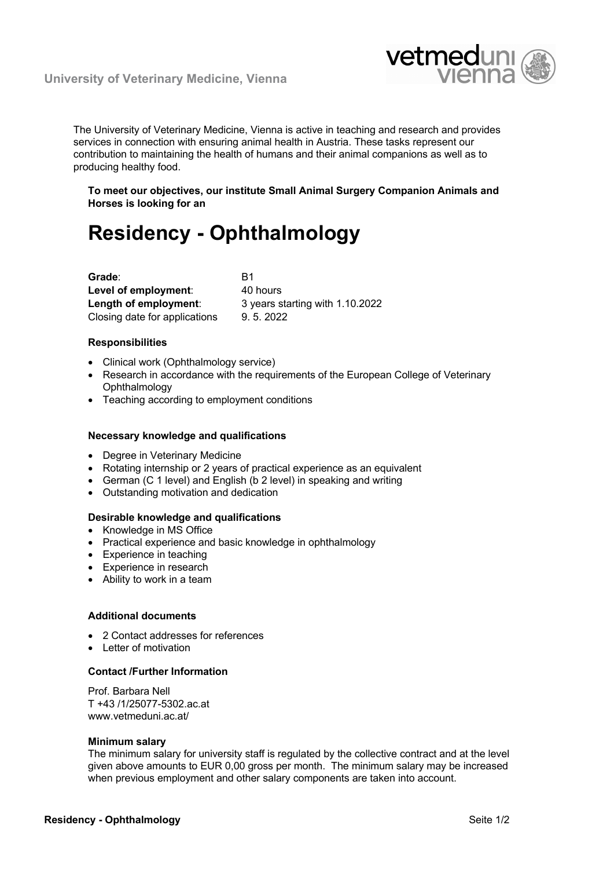

The University of Veterinary Medicine, Vienna is active in teaching and research and provides services in connection with ensuring animal health in Austria. These tasks represent our contribution to maintaining the health of humans and their animal companions as well as to producing healthy food.

**To meet our objectives, our institute Small Animal Surgery Companion Animals and Horses is looking for an**

# **Residency - Ophthalmology**

| Grade:                        | R1                              |
|-------------------------------|---------------------------------|
| Level of employment:          | 40 hours                        |
| Length of employment:         | 3 years starting with 1.10.2022 |
| Closing date for applications | 9.5.2022                        |

## **Responsibilities**

- Clinical work (Ophthalmology service)
- Research in accordance with the requirements of the European College of Veterinary **Ophthalmology**
- Teaching according to employment conditions

## **Necessary knowledge and qualifications**

- Degree in Veterinary Medicine
- Rotating internship or 2 years of practical experience as an equivalent
- German (C 1 level) and English (b 2 level) in speaking and writing
- Outstanding motivation and dedication

### **Desirable knowledge and qualifications**

- Knowledge in MS Office
- Practical experience and basic knowledge in ophthalmology
- Experience in teaching
- Experience in research
- Ability to work in a team

### **Additional documents**

- 2 Contact addresses for references
- Letter of motivation

## **Contact /Further Information**

Prof. Barbara Nell T +43 /1/25077-5302.ac.at www.vetmeduni.ac.at/

#### **Minimum salary**

The minimum salary for university staff is regulated by the collective contract and at the level given above amounts to EUR 0,00 gross per month. The minimum salary may be increased when previous employment and other salary components are taken into account.